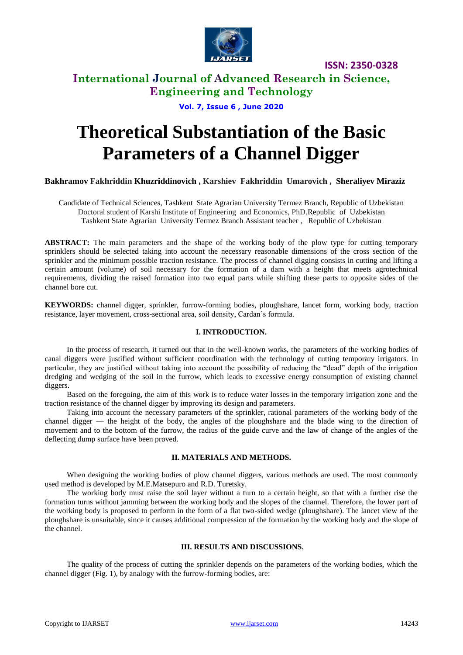

# **International Journal of Advanced Research in Science, Engineering and Technology**

## **Vol. 7, Issue 6 , June 2020**

# **Theoretical Substantiation of the Basic Parameters of a Channel Digger**

## **Bakhramov Fakhriddin Khuzriddinovich , Karshiev Fakhriddin Umarovich , Sheraliyev Miraziz**

Candidate of Technical Sciences, Tashkent State Agrarian University Termez Branch, Republic of Uzbekistan Doctoral student of Karshi Institute of Engineering and Economics, PhD.Republic of Uzbekistan Tashkent State Agrarian University Termez Branch Assistant teacher , Republic of Uzbekistan

**ABSTRACT:** The main parameters and the shape of the working body of the plow type for cutting temporary sprinklers should be selected taking into account the necessary reasonable dimensions of the cross section of the sprinkler and the minimum possible traction resistance. The process of channel digging consists in cutting and lifting a certain amount (volume) of soil necessary for the formation of a dam with a height that meets agrotechnical requirements, dividing the raised formation into two equal parts while shifting these parts to opposite sides of the channel bore cut.

**KEYWORDS:** channel digger, sprinkler, furrow-forming bodies, ploughshare, lancet form, working body, traction resistance, layer movement, cross-sectional area, soil density, Cardan's formula.

#### **I. INTRODUCTION.**

In the process of research, it turned out that in the well-known works, the parameters of the working bodies of canal diggers were justified without sufficient coordination with the technology of cutting temporary irrigators. In particular, they are justified without taking into account the possibility of reducing the "dead" depth of the irrigation dredging and wedging of the soil in the furrow, which leads to excessive energy consumption of existing channel diggers.

Based on the foregoing, the aim of this work is to reduce water losses in the temporary irrigation zone and the traction resistance of the channel digger by improving its design and parameters.

Taking into account the necessary parameters of the sprinkler, rational parameters of the working body of the channel digger — the height of the body, the angles of the ploughshare and the blade wing to the direction of movement and to the bottom of the furrow, the radius of the guide curve and the law of change of the angles of the deflecting dump surface have been proved.

#### **II. MATERIALS AND METHODS.**

When designing the working bodies of plow channel diggers, various methods are used. The most commonly used method is developed by M.E.Matsepuro and R.D. Turetsky.

The working body must raise the soil layer without a turn to a certain height, so that with a further rise the formation turns without jamming between the working body and the slopes of the channel. Therefore, the lower part of the working body is proposed to perform in the form of a flat two-sided wedge (ploughshare). The lancet view of the ploughshare is unsuitable, since it causes additional compression of the formation by the working body and the slope of the channel.

#### **III. RESULTS AND DISCUSSIONS.**

The quality of the process of cutting the sprinkler depends on the parameters of the working bodies, which the channel digger (Fig. 1), by analogy with the furrow-forming bodies, are: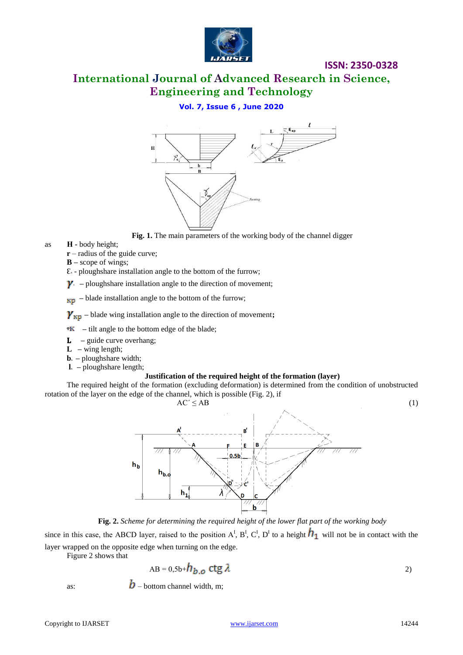

# **International Journal of Advanced Research in Science, Engineering and Technology**

# **Vol. 7, Issue 6 , June 2020**



**Fig. 1.** The main parameters of the working body of the channel digger

- as **Н -** body height;
	- **r** radius of the guide curve;
	- **B –** scope of wings;
	- Ԑ**<sup>ᶺ</sup>** ploughshare installation angle to the bottom of the furrow;
	- $\gamma$  ploughshare installation angle to the direction of movement;
	- $**F**$ **<sub>Kp</sub>** blade installation angle to the bottom of the furrow;

 $\gamma_{\text{kp}}$  – blade wing installation angle to the direction of movement;

- $\mathbf{R}$  tilt angle to the bottom edge of the blade;
- **L** guide curve overhang;
- **L –** wing length;
- **b**<sub>*i*</sub> ploughshare width;
- $\bf{l}$  ploughshare length;

#### **Justification of the required height of the formation (layer)**

The required height of the formation (excluding deformation) is determined from the condition of unobstructed rotation of the layer on the edge of the channel, which is possible (Fig. 2), if



**Fig. 2.** *Scheme for determining the required height of the lower flat part of the working body*

since in this case, the ABCD layer, raised to the position  $A^I$ ,  $B^I$ ,  $C^I$ ,  $D^I$  to a height  $h_1$  will not be in contact with the layer wrapped on the opposite edge when turning on the edge.

Figure 2 shows that

$$
AB = 0.5b + h_{b.o} \text{ ctg } \lambda
$$

as:  $\boldsymbol{b}$  – bottom channel width, m;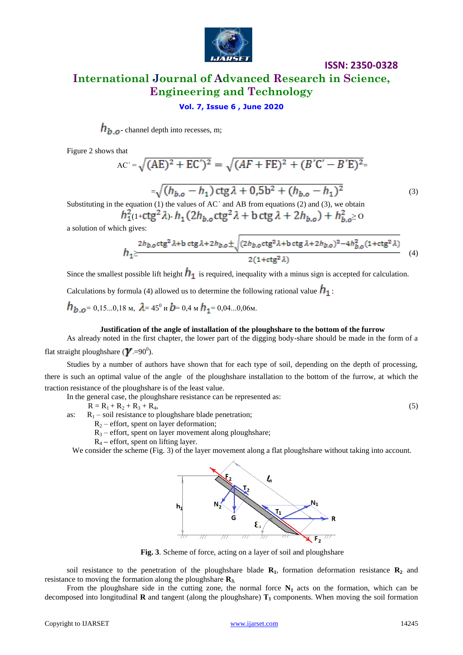

# **International Journal of Advanced Research in Science, Engineering and Technology**

## **Vol. 7, Issue 6 , June 2020**

 $h_{b.o}$  channel depth into recesses, m;

Figure 2 shows that

$$
AC' = \sqrt{(AE)^2 + EC')^2} = \sqrt{(AF + FE)^2 + (B'C' - B'E)^2} =
$$

 $=\sqrt{(h_{b.o} - h_1) \operatorname{ctg} \lambda + 0.5b^2 + (h_{b.o} - h_1)^2}$  (3) Substituting in the equation  $(1)$  the values of AC $\degree$  and AB from equations  $(2)$  and  $(3)$ , we obtain

(1+ctg<sup>2</sup>  $\lambda$ )-  $h_1$  (2 $h_{h,o}$ ctg<sup>2</sup>  $\lambda$  + b ctg  $\lambda$  + 2 $h_{h,o}$ ) +  $h_{h,o}^2$  o

a solution of which gives:

$$
h_1 \ge \frac{2h_{b,o}ctg^2\lambda + b\ ctg\lambda + 2h_{b,o} \pm \sqrt{(2h_{b,o}ctg^2\lambda + b\ ctg\lambda + 2h_{b,o})^2 - 4h_{b,o}^2(1 + ctg^2\lambda) \over 2(1 + ctg^2\lambda)}
$$
 (4)

Since the smallest possible lift height  $h_1$  is required, inequality with a minus sign is accepted for calculation.

Calculations by formula (4) allowed us to determine the following rational value  $\mathbf{h}_1$ :

$$
h_{b.o} = 0.15...0.18 \text{ m}, \ \lambda = 45^{\circ} \text{ m}, \ b = 0.4 \text{ m}, \ h_1 = 0.04...0.06 \text{ m}.
$$

#### **Justification of the angle of installation of the ploughshare to the bottom of the furrow**

As already noted in the first chapter, the lower part of the digging body-share should be made in the form of a

flat straight ploughshare ( $\gamma$  =90<sup>0</sup>).

Studies by a number of authors have shown that for each type of soil, depending on the depth of processing, there is such an optimal value of the angle of the ploughshare installation to the bottom of the furrow, at which the traction resistance of the ploughshare is of the least value.

In the general case, the ploughshare resistance can be represented as:

 $R = R_1 + R_2 + R_3 + R_4,$  (5)

as:  $R_1$  – soil resistance to ploughshare blade penetration;

 $R_2$  – effort, spent on layer deformation;

 $R_3$  – effort, spent on layer movement along ploughshare;

R<sup>4</sup> **–** effort, spent on lifting layer.

We consider the scheme (Fig. 3) of the layer movement along a flat ploughshare without taking into account.



**Fig. 3***.* Scheme of force, acting on a layer of soil and ploughshare

soil resistance to the penetration of the ploughshare blade  $\mathbf{R}_1$ , formation deformation resistance  $\mathbf{R}_2$  and resistance to moving the formation along the ploughshare **R3.**

From the ploughshare side in the cutting zone, the normal force  $N_1$  acts on the formation, which can be decomposed into longitudinal **R** and tangent (along the ploughshare) **Т<sup>1</sup>** components. When moving the soil formation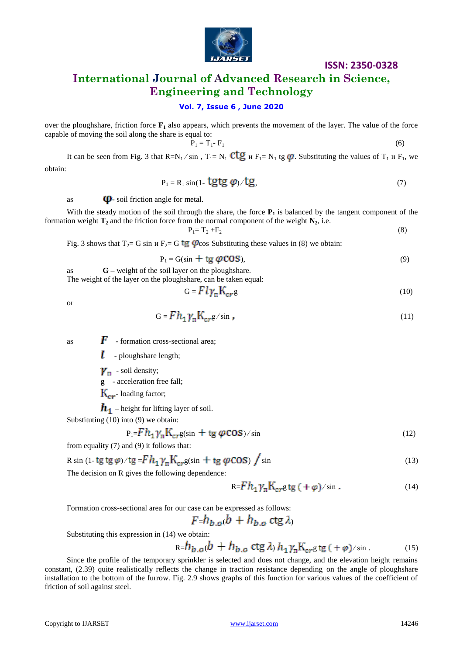

# **International Journal of Advanced Research in Science, Engineering and Technology**

### **Vol. 7, Issue 6 , June 2020**

over the ploughshare, friction force **F<sup>1</sup>** also appears, which prevents the movement of the layer. The value of the force capable of moving the soil along the share is equal to:

$$
P_1 = T_1 - F_1 \tag{6}
$$

It can be seen from Fig. 3 that  $R=N_1 / \sin$ ,  $T_1=N_1$  CLG  $\mu$  F<sub>1</sub>= N<sub>1</sub> tg  $\varphi$ . Substituting the values of  $T_1$   $\mu$  F<sub>1</sub>, we obtain:

$$
P_1 = R_1 \sin(1 - \text{tgtg }\varphi) / \text{tg},\tag{7}
$$

as  $\Phi$ - soil friction angle for metal.

With the steady motion of the soil through the share, the force  $P_1$  is balanced by the tangent component of the formation weight  $\mathbf{T}_2$  and the friction force from the normal component of the weight  $\mathbf{N}_2$ , i.e.

$$
P_1 = T_2 + F_2 \tag{8}
$$

Fig. 3 shows that  $T_2 = G \sin u F_2 = G \text{tg } \varphi$  cos Substituting these values in (8) we obtain:

$$
P_1 = G(\sin + \text{tg } \varphi \text{COS}),\tag{9}
$$

as **G –** weight of the soil layer on the ploughshare. The weight of the layer on the ploughshare, can be taken equal:

$$
G = F l \gamma_{\rm m} K_{\rm cr} g \tag{10}
$$

or

$$
G = F h_1 \gamma_n K_{cr} g / \sin \,, \tag{11}
$$

as  $\boldsymbol{F}$  - formation cross-sectional area;

**-** ploughshare length;

 $\gamma_{\pi}$  - soil density;

**g -** acceleration free fall;

**-** loading factor;

 $h_1$  – height for lifting layer of soil.

Substituting (10) into (9) we obtain:

$$
P_1 = F h_1 \gamma_n K_{cr} g(\sin + t g \, \varphi \cos)/\sin \tag{12}
$$

from equality (7) and (9) it follows that:

$$
R \sin (1 - \text{tg tg }\varphi) / \text{tg} = F h_1 \gamma_n K_{cr} g(\sin + \text{tg }\varphi \cos) / \sin \tag{13}
$$

The decision on R gives the following dependence:

$$
R = F h_1 \gamma_n K_{cr} g t g (+\varphi) / \sin \,. \tag{14}
$$

Formation cross-sectional area for our case can be expressed as follows:

$$
F = h_{b.o}(b) + h_{b.o} \text{ ctg } \lambda
$$

Substituting this expression in (14) we obtain:

$$
R = h_{b.o}(b + h_{b.o} \text{ ctg } \lambda) h_1 \gamma_n K_{cr} g t g (+\varphi) / \sin . \tag{15}
$$

Since the profile of the temporary sprinkler is selected and does not change, and the elevation height remains constant, (2.39) quite realistically reflects the change in traction resistance depending on the angle of ploughshare installation to the bottom of the furrow. Fig. 2.9 shows graphs of this function for various values of the coefficient of friction of soil against steel.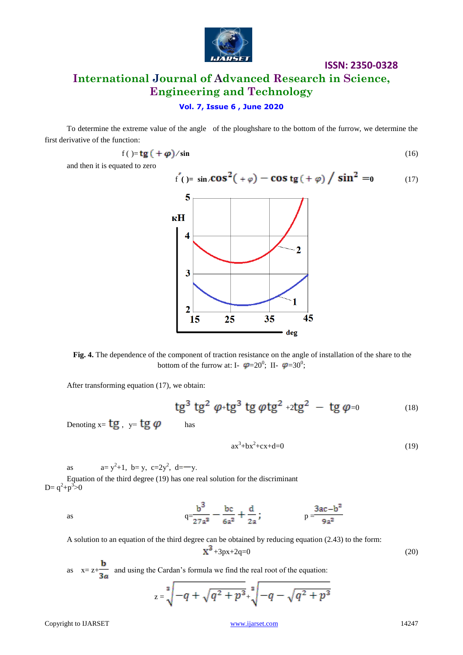

# **International Journal of Advanced Research in Science, Engineering and Technology**

**Vol. 7, Issue 6 , June 2020**

To determine the extreme value of the angle of the ploughshare to the bottom of the furrow, we determine the first derivative of the function:

$$
f\left(\right) = \mathbf{tg}\left(\right) + \boldsymbol{\varphi}\right) / \sin\tag{16}
$$

and then it is equated to zero



**Fig. 4.** The dependence of the component of traction resistance on the angle of installation of the share to the bottom of the furrow at: I-  $\varphi = 20^{\circ}$ ; II-  $\varphi = 30^{\circ}$ ;

After transforming equation (17), we obtain:

tg<sup>3</sup> tg<sup>2</sup> 
$$
\varphi
$$
+tg<sup>3</sup> tg  $\varphi$ tg<sup>2</sup> +2tg<sup>2</sup> - tg  $\varphi$ =0 (18)

Denoting  $x = tg$ ,  $y = tg$   $\varphi$  has

$$
ax3+bx2+cx+d=0
$$
 (19)

as  $a=y^2+1$ ,  $b=y$ ,  $c=2y^2$ ,  $d=-y$ .

Equation of the third degree (19) has one real solution for the discriminant  $D = q^2 + p^3 > 0$ 

as 
$$
q = \frac{b^3}{27a^3} - \frac{bc}{6a^2} + \frac{d}{2a}
$$
;  $p = \frac{3ac - b^2}{9a^2}$ 

A solution to an equation of the third degree can be obtained by reducing equation (2.43) to the form:  $X^3 + 3px + 2q = 0$  (20)

as  $x= z+\frac{b}{3a}$  and using the Cardan's formula we find the real root of the equation:

$$
z = \sqrt[3]{-q + \sqrt{q^2 + p^3}} + \sqrt[3]{-q - \sqrt{q^2 + p^3}}
$$